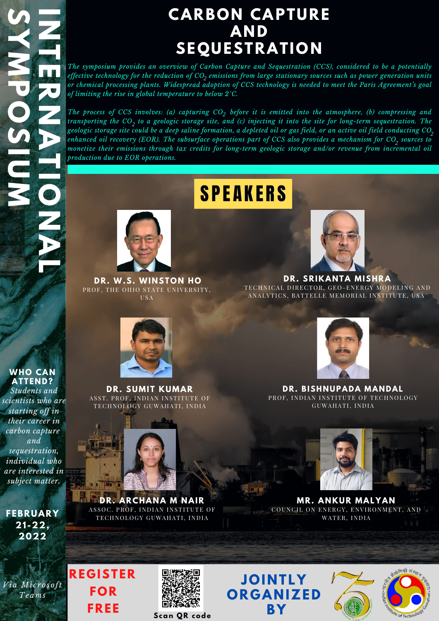**R**

**N**

**A**

**T** 

**I**<br>III<br>II

**O**

**N**

**A** 

**L**

**S**

**Y**

**MARK** 

**P**

**O**

**S**

**I**<br>III and I all the complete party of

**U**

**MARK** 

**N** 

**THE T** 

**E** 

**FEBRUARY 21 -22, 2022**

*Via Mi c r o s o ft Teams*

## **CARBON CAPTURE AND SEQUESTRATION**

*The symposium provides an overview of Carbon Capture and Sequestration (CCS), considered to be a potentially* effective technology for the reduction of CO<sub>2</sub> emissions from large stationary sources such as power generation units or chemical processing plants. Widespread adoption of CCS technology is needed to meet the Paris Agreement's goal *of limiting the rise in global temperature to below 2°C.*

The process of CCS involves: (a) capturing  $CO_2$  before it is emitted into the atmosphere, (b) compressing and transporting the  ${CO_2}$  to a geologic storage site, and (c) injecting it into the site for long-term sequestration. The geologic storage site could be a deep saline formation, a depleted oil or gas field, or an active oil field conducting CO<sub>3</sub> enhanced oil recovery (EOR). The subsurface operations part of CCS also provides a mechanism for CO<sub>2</sub> sources to *monetize their emissions through tax credits for long-term geologic storage and/or revenue from incremental oil production due to EOR operations. 2 2*

# **SPEAKERS**



**JOI N TLY OR G A N IZED BY**



**DR. BISH N UPADA MA N DAL** PROF, INDIAN INSTITUTE OF TECHNOLOGY GUWAHATI, INDIA



**DR. SUMIT KUMAR** AS ST. PROF, INDIAN INSTITUTE OF TECHNOLOGY GUWAHATI, INDIA

**WHO CA N ATTE N D?** *Students and scientists who are starting off in their career in carbon capture and sequestration, individual who are interested in*

**I**<br>III *I*<br>II *I* 

*subject matter.*

**RE G ISTER FOR FREE**







**MR. A N KUR MALYA N** COUNCIL ON ENERGY, ENVIRONMENT, AND WATER, INDIA

**DR. W.S. WI N STON HO** PROF, THE OHIO STATE UNIVERSITY, USA



**DR. SRIKANTA MISHRA** TECHNICAL DIRECTOR, GEO-ENERGY MODELING AND ANALYTICS, BATTELLE MEMORIAL INSTITUTE, USA





**Scan QR code**